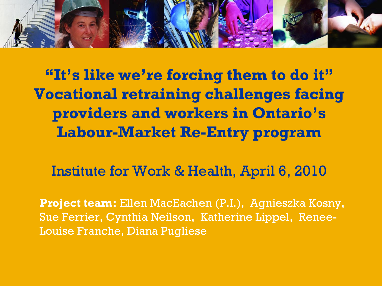

**"It's like we're forcing them to do it" Vocational retraining challenges facing providers and workers in Ontario's Labour-Market Re-Entry program** 

Institute for Work & Health, April 6, 2010

**Project team:** Ellen MacEachen (P.I.), Agnieszka Kosny, Sue Ferrier, Cynthia Neilson, Katherine Lippel, Renee-Louise Franche, Diana Pugliese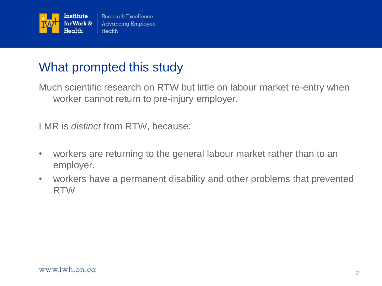

### What prompted this study

Much scientific research on RTW but little on labour market re-entry when worker cannot return to pre-injury employer.

LMR is *distinct* from RTW, because:

- workers are returning to the general labour market rather than to an employer.
- workers have a permanent disability and other problems that prevented RTW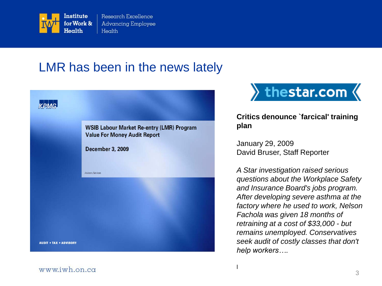

### LMR has been in the news lately

|                               | <b>WSIB Labour Market Re-entry (LMR) Program</b><br><b>Value For Money Audit Report</b> |
|-------------------------------|-----------------------------------------------------------------------------------------|
|                               | <b>December 3, 2009</b>                                                                 |
|                               | Advisory Services                                                                       |
|                               |                                                                                         |
|                               |                                                                                         |
| <b>AUDIT . TAX . ADVISORY</b> |                                                                                         |
|                               |                                                                                         |



#### **Critics denounce `farcical' training plan**

January 29, 2009 David Bruser, Staff Reporter

l

*A Star investigation raised serious questions about the Workplace Safety and Insurance Board's jobs program. After developing severe asthma at the factory where he used to work, Nelson Fachola was given 18 months of retraining at a cost of \$33,000 - but remains unemployed. Conservatives seek audit of costly classes that don't help workers….*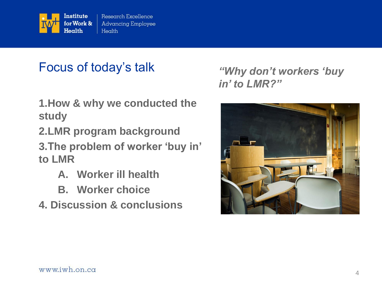

### Focus of today's talk

- **1.How & why we conducted the study**
- **2.LMR program background 3.The problem of worker "buy in" to LMR**
	- **A. Worker ill health**
	- **B. Worker choice**
- **4. Discussion & conclusions**

*"Why don"t workers "buy in" to LMR?"*

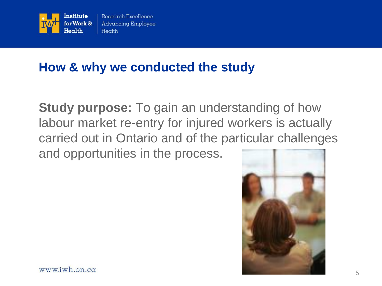

### **How & why we conducted the study**

**Study purpose:** To gain an understanding of how labour market re-entry for injured workers is actually carried out in Ontario and of the particular challenges and opportunities in the process.

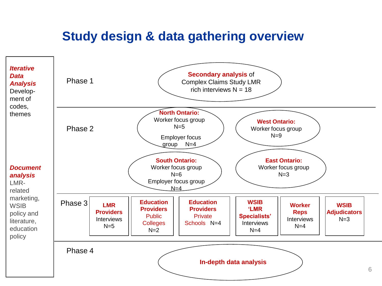### **Study design & data gathering overview**

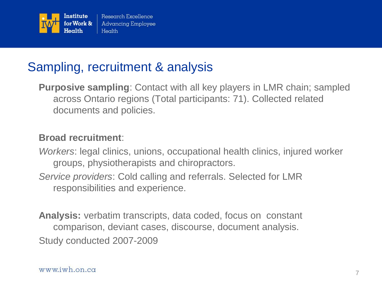

### Sampling, recruitment & analysis

**Purposive sampling**: Contact with all key players in LMR chain; sampled across Ontario regions (Total participants: 71). Collected related documents and policies.

#### **Broad recruitment**:

*Workers*: legal clinics, unions, occupational health clinics, injured worker groups, physiotherapists and chiropractors.

*Service providers*: Cold calling and referrals. Selected for LMR responsibilities and experience.

**Analysis:** verbatim transcripts, data coded, focus on constant comparison, deviant cases, discourse, document analysis. Study conducted 2007-2009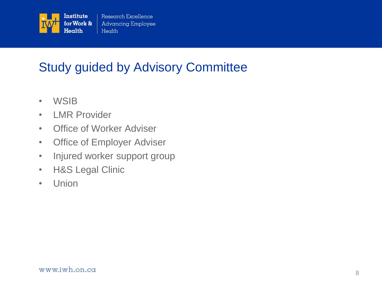

### Study guided by Advisory Committee

- WSIB
- LMR Provider
- Office of Worker Adviser
- Office of Employer Adviser
- Injured worker support group
- H&S Legal Clinic
- Union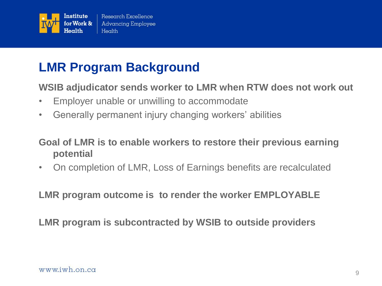

### **LMR Program Background**

**WSIB adjudicator sends worker to LMR when RTW does not work out**

- Employer unable or unwilling to accommodate
- Generally permanent injury changing workers' abilities

#### **Goal of LMR is to enable workers to restore their previous earning potential**

• On completion of LMR, Loss of Earnings benefits are recalculated

**LMR program outcome is to render the worker EMPLOYABLE**

**LMR program is subcontracted by WSIB to outside providers**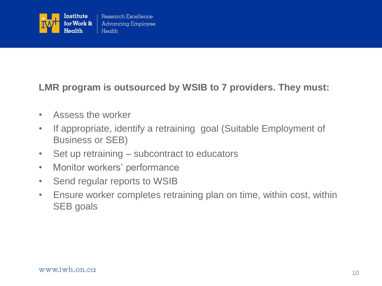

#### **LMR program is outsourced by WSIB to 7 providers. They must:**

- Assess the worker
- If appropriate, identify a retraining goal (Suitable Employment of Business or SEB)
- Set up retraining subcontract to educators
- Monitor workers' performance
- Send regular reports to WSIB
- Ensure worker completes retraining plan on time, within cost, within SEB goals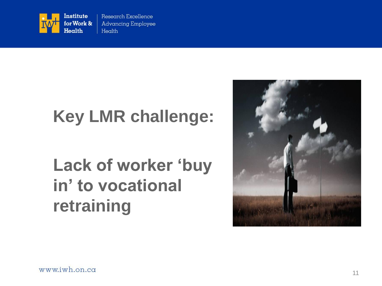

# **Key LMR challenge:**

# **Lack of worker "buy in" to vocational retraining**

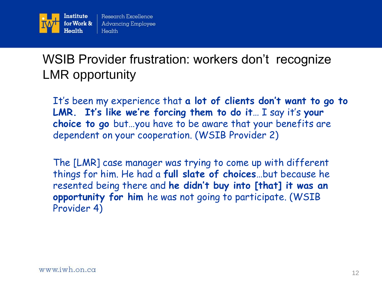

### WSIB Provider frustration: workers don't recognize LMR opportunity

It"s been my experience that **a lot of clients don't want to go to**  LMR. It's like we're forcing them to do it... I say it's your **choice to go** but…you have to be aware that your benefits are dependent on your cooperation. (WSIB Provider 2)

The [LMR] case manager was trying to come up with different things for him. He had a **full slate of choices**…but because he resented being there and **he didn't buy into [that] it was an opportunity for him** he was not going to participate. (WSIB Provider 4)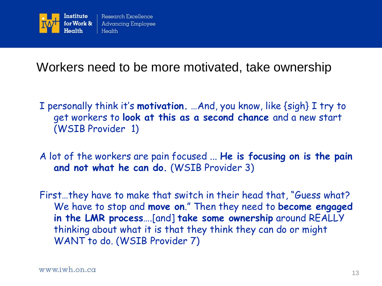

Workers need to be more motivated, take ownership

- I personally think it"s **motivation.** …And, you know, like {sigh} I try to get workers to **look at this as a second chance** and a new start (WSIB Provider 1)
- A lot of the workers are pain focused ... **He is focusing on is the pain and not what he can do.** (WSIB Provider 3)
- First…they have to make that switch in their head that, "Guess what? We have to stop and **move on**." Then they need to **become engaged in the LMR process**….[and] **take some ownership** around REALLY thinking about what it is that they think they can do or might WANT to do. (WSIB Provider 7)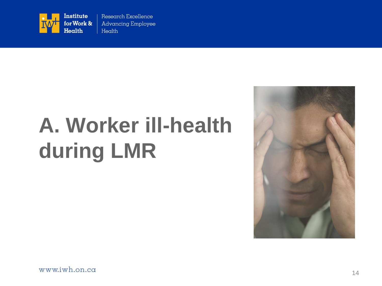

# **A. Worker ill-health during LMR**

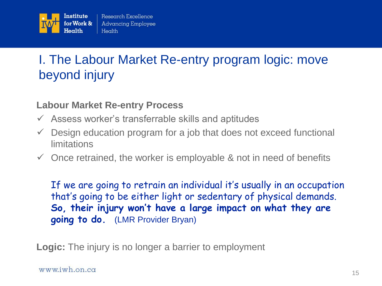

### I. The Labour Market Re-entry program logic: move beyond injury

#### **Labour Market Re-entry Process**

- $\checkmark$  Assess worker's transferrable skills and aptitudes
- $\checkmark$  Design education program for a job that does not exceed functional limitations
- $\checkmark$  Once retrained, the worker is employable & not in need of benefits

If we are going to retrain an individual it's usually in an occupation that"s going to be either light or sedentary of physical demands. **So, their injury won't have a large impact on what they are going to do.** (LMR Provider Bryan)

**Logic:** The injury is no longer a barrier to employment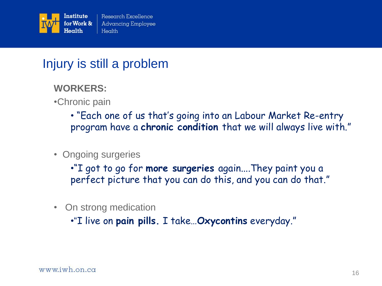

### Injury is still a problem

- **WORKERS:**
- •Chronic pain
	- "Each one of us that"s going into an Labour Market Re-entry program have a **chronic condition** that we will always live with."
- Ongoing surgeries
	- •"I got to go for **more surgeries** again....They paint you a perfect picture that you can do this, and you can do that."
- On strong medication

•―I live on **pain pills.** I take…**Oxycontins** everyday."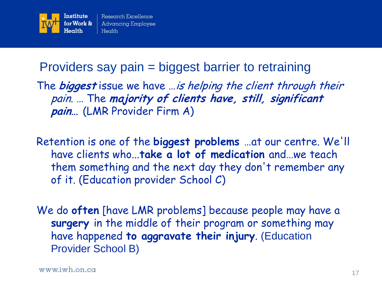

### Providers say pain = biggest barrier to retraining

The **biggest** issue we have …is helping the client through their pain. … The **majority of clients have, still, significant pain…** (LMR Provider Firm A)

Retention is one of the **biggest problems** …at our centre. We'll have clients who...**take a lot of medication** and…we teach them something and the next day they don't remember any of it. (Education provider School C)

We do **often** [have LMR problems] because people may have a **surgery** in the middle of their program or something may have happened **to aggravate their injury**. (Education Provider School B)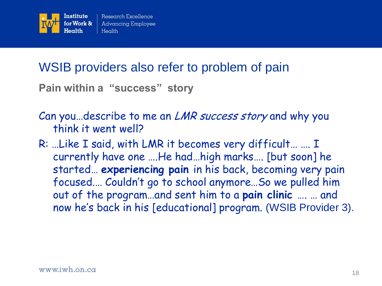

### WSIB providers also refer to problem of pain

**Pain within a "success" story**

- Can you ... describe to me an *LMR success story* and why you think it went well?
- R: …Like I said, with LMR it becomes very difficult… …. I currently have one ….He had…high marks…. [but soon] he started… **experiencing pain** in his back, becoming very pain focused.… Couldn"t go to school anymore…So we pulled him out of the program…and sent him to a **pain clinic** …. … and now he's back in his [educational] program. (WSIB Provider 3).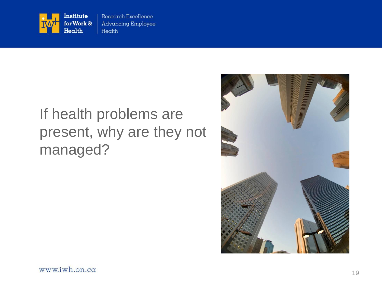

## If health problems are present, why are they not managed?

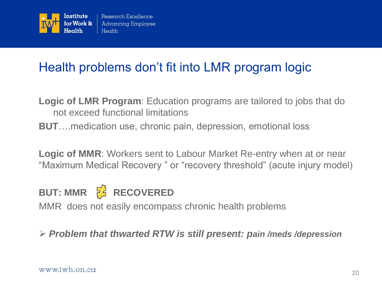

### Health problems don't fit into LMR program logic

- **Logic of LMR Program**: Education programs are tailored to jobs that do not exceed functional limitations
- **BUT**….medication use, chronic pain, depression, emotional loss

**Logic of MMR**: Workers sent to Labour Market Re-entry when at or near "Maximum Medical Recovery " or "recovery threshold" (acute injury model)

### **BUT: MMR F**<sup>2</sup> RECOVERED

MMR does not easily encompass chronic health problems

#### *Problem that thwarted RTW is still present: pain /meds /depression*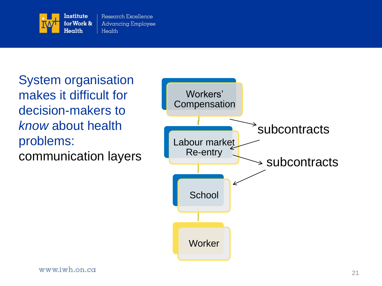

System organisation makes it difficult for decision-makers to *know* about health problems: communication layers

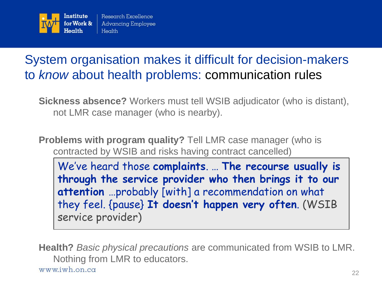

### System organisation makes it difficult for decision-makers to *know* about health problems: communication rules

**Sickness absence?** Workers must tell WSIB adjudicator (who is distant), not LMR case manager (who is nearby).

**Problems with program quality?** Tell LMR case manager (who is contracted by WSIB and risks having contract cancelled)

We"ve heard those **complaints**. … **The recourse usually is through the service provider who then brings it to our attention** …probably [with] a recommendation on what they feel. {pause} **It doesn't happen very often**. (WSIB service provider)

**Health?** *Basic physical precautions* are communicated from WSIB to LMR. Nothing from LMR to educators. www.iwh.on.ca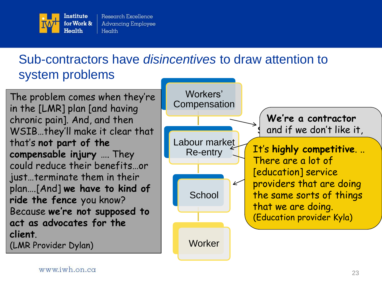

### Sub-contractors have *disincentives* to draw attention to system problems

The problem comes when they"re in the [LMR] plan [and having chronic pain]. And, and then WSIB…they"ll make it clear that that"s **not part of the compensable injury** …. They could reduce their benefits…or just…terminate them in their plan….[And] **we have to kind of ride the fence** you know? Because **we're not supposed to act as advocates for the client**. (LMR Provider Dylan)

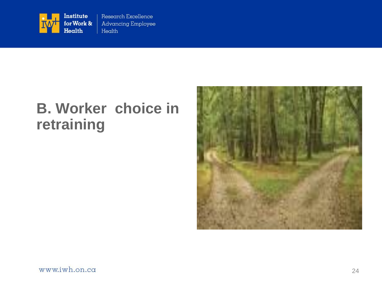

### **B. Worker choice in retraining**

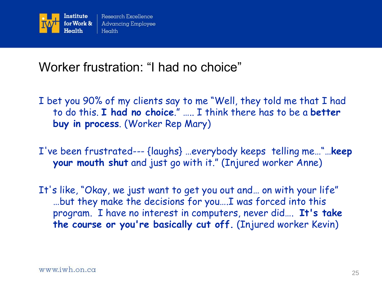

### Worker frustration: "I had no choice"

- I bet you 90% of my clients say to me "Well, they told me that I had to do this. **I had no choice**." ….. I think there has to be a **better buy in process**. (Worker Rep Mary)
- I've been frustrated--- {laughs} …everybody keeps telling me…"…**keep your mouth shut** and just go with it." (Injured worker Anne)
- It's like, "Okay, we just want to get you out and… on with your life" …but they make the decisions for you….I was forced into this program. I have no interest in computers, never did…. **It's take the course or you're basically cut off.** (Injured worker Kevin)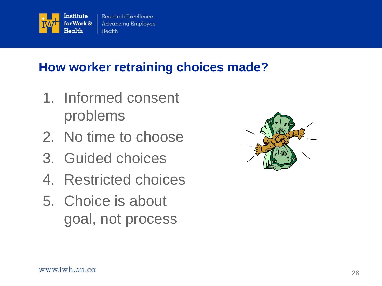

### **How worker retraining choices made?**

- 1. Informed consent problems
- 2. No time to choose
- 3. Guided choices
- 4. Restricted choices
- 5. Choice is about goal, not process

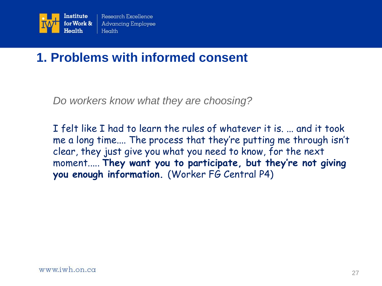

### **1. Problems with informed consent**

*Do workers know what they are choosing?*

I felt like I had to learn the rules of whatever it is. ... and it took me a long time.... The process that they"re putting me through isn"t clear, they just give you what you need to know, for the next moment..... **They want you to participate, but they're not giving you enough information.** (Worker FG Central P4)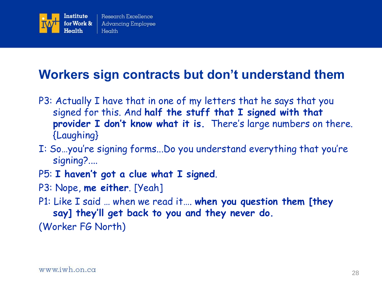

### **Workers sign contracts but don"t understand them**

- P3: Actually I have that in one of my letters that he says that you signed for this. And **half the stuff that I signed with that**  provider I don't know what it is. There's large numbers on there. {Laughing}
- I: So…you"re signing forms...Do you understand everything that you"re signing?....
- P5: **I haven't got a clue what I signed**.
- P3: Nope, **me either**. [Yeah]
- P1: Like I said … when we read it…. **when you question them [they say] they'll get back to you and they never do.**

(Worker FG North)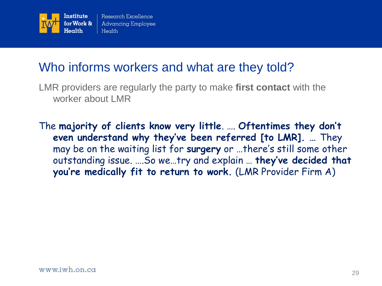

### Who informs workers and what are they told?

LMR providers are regularly the party to make **first contact** with the worker about LMR

The **majority of clients know very little**. …. **Oftentimes they don't even understand why they've been referred [to LMR]. …** They may be on the waiting list for surgery or ...there's still some other outstanding issue. ….So we…try and explain … **they've decided that you're medically fit to return to work.** (LMR Provider Firm A)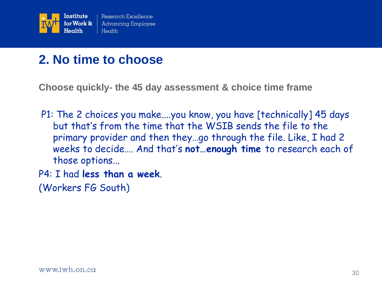

### **2. No time to choose**

**Choose quickly- the 45 day assessment & choice time frame**

- P1: The 2 choices you make....you know, you have [technically] 45 days but that"s from the time that the WSIB sends the file to the primary provider and then they…go through the file. Like, I had 2 weeks to decide…. And that"s **not…enough time** to research each of those options...
- P4: I had **less than a week**.

(Workers FG South)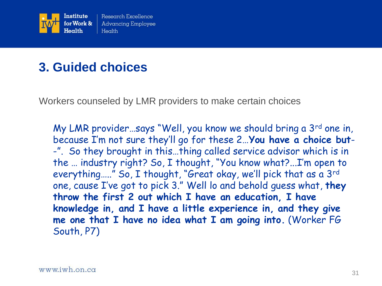

### **3. Guided choices**

Workers counseled by LMR providers to make certain choices

My LMR provider…says "Well, you know we should bring a 3rd one in, because I"m not sure they"ll go for these 2…**You have a choice but**- -". So they brought in this…thing called service advisor which is in the … industry right? So, I thought, "You know what?...I"m open to everything....." So, I thought, "Great okay, we'll pick that as a 3rd one, cause I"ve got to pick 3." Well lo and behold guess what, **they throw the first 2 out which I have an education, I have knowledge in, and I have a little experience in, and they give me one that I have no idea what I am going into.** (Worker FG South, P7)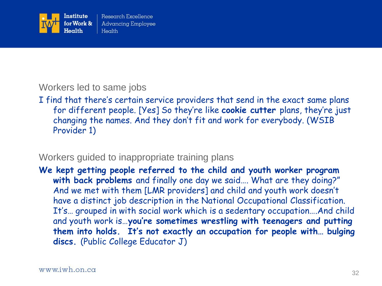

#### Workers led to same jobs

I find that there's certain service providers that send in the exact same plans for different people. [Yes] So they"re like **cookie cutter** plans, they"re just changing the names. And they don"t fit and work for everybody. (WSIB Provider 1)

#### Workers guided to inappropriate training plans

**We kept getting people referred to the child and youth worker program with back problems** and finally one day we said…. What are they doing?" And we met with them [LMR providers] and child and youth work doesn"t have a distinct job description in the National Occupational Classification. It"s… grouped in with social work which is a sedentary occupation….And child and youth work is…**you're sometimes wrestling with teenagers and putting them into holds. It's not exactly an occupation for people with… bulging discs.** (Public College Educator J)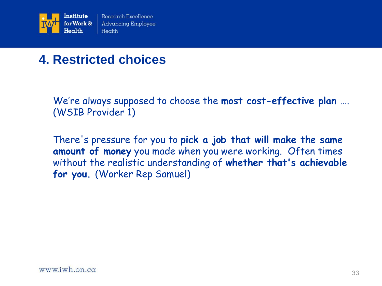

### **4. Restricted choices**

We"re always supposed to choose the **most cost-effective plan** …. (WSIB Provider 1)

There's pressure for you to **pick a job that will make the same amount of money** you made when you were working. Often times without the realistic understanding of **whether that's achievable for you.** (Worker Rep Samuel)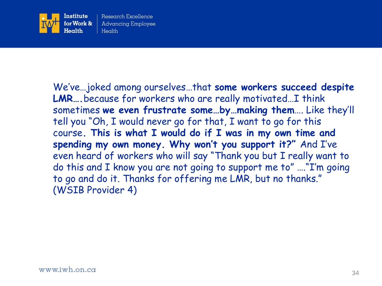

We"ve…joked among ourselves…that **some workers succeed despite LMR….**because for workers who are really motivated…I think sometimes **we even frustrate some…by…making them**…. Like they"ll tell you "Oh, I would never go for that, I want to go for this course**. This is what I would do if I was in my own time and spending my own money. Why won't you support it?"** And I"ve even heard of workers who will say "Thank you but I really want to do this and I know you are not going to support me to" …."I"m going to go and do it. Thanks for offering me LMR, but no thanks." (WSIB Provider 4)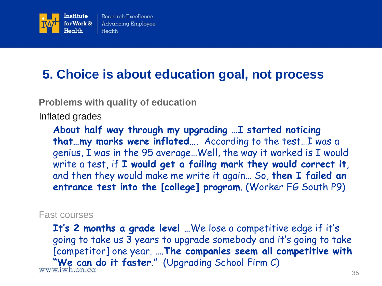

### **5. Choice is about education goal, not process**

**Problems with quality of education**

Inflated grades

**About half way through my upgrading …I started noticing that…my marks were inflated….** According to the test…I was a genius, I was in the 95 average…Well, the way it worked is I would write a test, if **I would get a failing mark they would correct it**, and then they would make me write it again… So, **then I failed an entrance test into the [college] program**. (Worker FG South P9)

#### Fast courses

**It's 2 months a grade level …**We lose a competitive edge if it"s going to take us 3 years to upgrade somebody and it"s going to take [competitor] one year. ….**The companies seem all competitive with "We can do it faster."** (Upgrading School Firm C)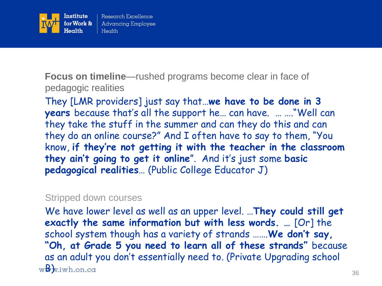

**Focus on timeline**—rushed programs become clear in face of pedagogic realities

They [LMR providers] just say that…**we have to be done in 3 years** because that"s all the support he… can have. … …."Well can they take the stuff in the summer and can they do this and can they do an online course?" And I often have to say to them, "You know, **if they're not getting it with the teacher in the classroom they ain't going to get it online**". And it"s just some **basic pedagogical realities**… (Public College Educator J)

#### Stripped down courses

We have lower level as well as an upper level. …**They could still get exactly the same information but with less words. …** [Or] the school system though has a variety of strands …….**We don't say, "Oh, at Grade 5 you need to learn all of these strands"** because as an adult you don"t essentially need to. (Private Upgrading school  $w\mathbf{B}$  w.iwh.on.com 36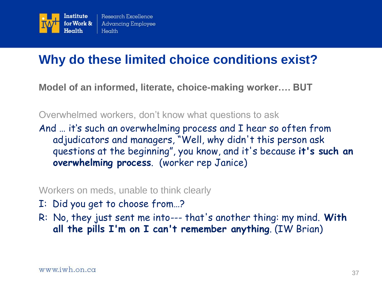

### **Why do these limited choice conditions exist?**

**Model of an informed, literate, choice-making worker…. BUT**

Overwhelmed workers, don't know what questions to ask

And ... it's such an overwhelming process and I hear so often from adjudicators and managers, "Well, why didn't this person ask questions at the beginning", you know, and it's because **it's such an overwhelming process**. (worker rep Janice)

Workers on meds, unable to think clearly

- I: Did you get to choose from…?
- R: No, they just sent me into--- that's another thing: my mind. **With all the pills I'm on I can't remember anything**. (IW Brian)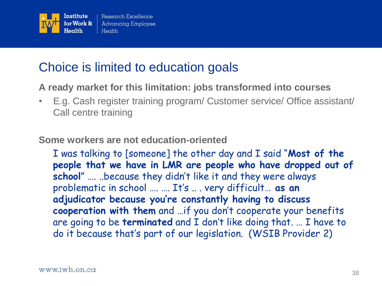

### Choice is limited to education goals

**A ready market for this limitation: jobs transformed into courses**

• E.g. Cash register training program/ Customer service/ Office assistant/ Call centre training

**Some workers are not education-oriented**

I was talking to [someone] the other day and I said "**Most of the people that we have in LMR are people who have dropped out of school**" …. ..because they didn"t like it and they were always problematic in school …. …. It"s .. . very difficult… **as an adjudicator because you're constantly having to discuss cooperation with them** and …if you don"t cooperate your benefits are going to be **terminated** and I don"t like doing that. … I have to do it because that"s part of our legislation. (WSIB Provider 2)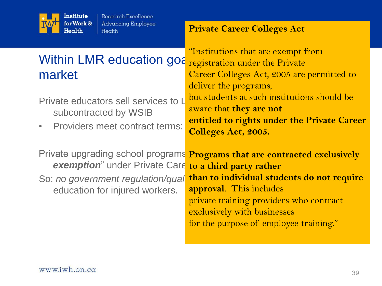

### Within LMR education goa market

Private educators sell services to L subcontracted by WSIB

• Providers meet contract terms:

**exemption**" under Private Care to a third party rather

So: *no government regulation/qual* education for injured workers.

**Private Career Colleges Act**

"Institutions that are exempt from registration under the Private Career Colleges Act, 2005 are permitted to deliver the programs, but students at such institutions should be aware that **they are not entitled to rights under the Private Career Colleges Act, 2005.** 

Private upgrading school programs **Programs that are contracted exclusively than to individual students do not require approval**. This includes private training providers who contract exclusively with businesses for the purpose of employee training."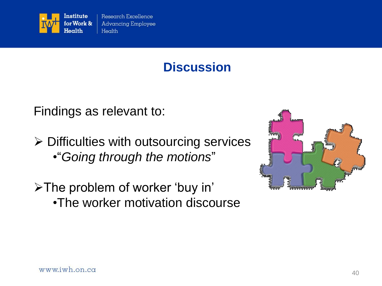

**Discussion**

Findings as relevant to:

- $\triangleright$  Difficulties with outsourcing services • ―*Going through the motions*‖
- >The problem of worker 'buy in' •The worker motivation discourse

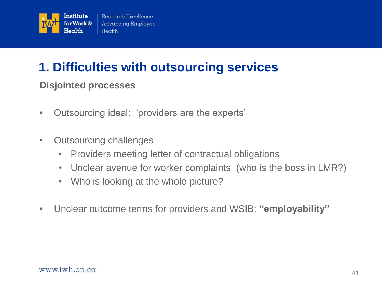

### **1. Difficulties with outsourcing services**

#### **Disjointed processes**

- Outsourcing ideal: 'providers are the experts'
- Outsourcing challenges
	- Providers meeting letter of contractual obligations
	- Unclear avenue for worker complaints (who is the boss in LMR?)
	- Who is looking at the whole picture?
- Unclear outcome terms for providers and WSIB: **"employability"**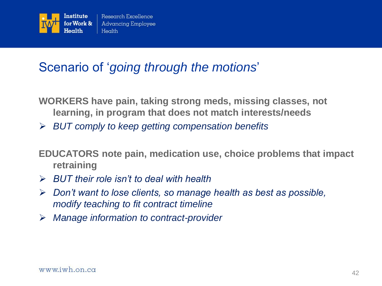

### Scenario of ‗*going through the motions*'

**WORKERS have pain, taking strong meds, missing classes, not learning, in program that does not match interests/needs**

*BUT comply to keep getting compensation benefits*

**EDUCATORS note pain, medication use, choice problems that impact retraining**

- *BUT their role isn't to deal with health*
- *Don't want to lose clients, so manage health as best as possible, modify teaching to fit contract timeline*
- *Manage information to contract-provider*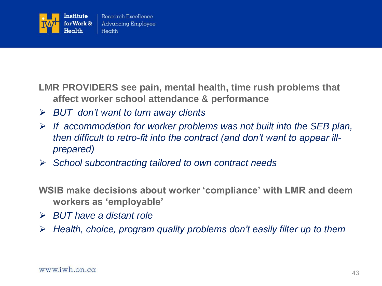

**LMR PROVIDERS see pain, mental health, time rush problems that affect worker school attendance & performance**

- *BUT don't want to turn away clients*
- *If accommodation for worker problems was not built into the SEB plan, then difficult to retro-fit into the contract (and don't want to appear illprepared)*
- *School subcontracting tailored to own contract needs*

**WSIB make decisions about worker "compliance" with LMR and deem workers as "employable"**

- *BUT have a distant role*
- *Health, choice, program quality problems don't easily filter up to them*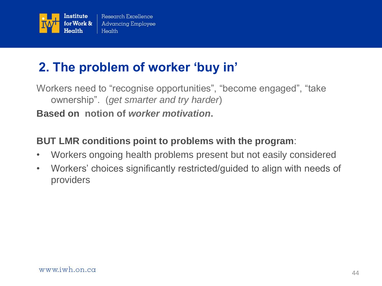

### **2. The problem of worker "buy in"**

Workers need to "recognise opportunities", "become engaged", "take ownership‖. (*get smarter and try harder*) **Based on notion of** *worker motivation***.** 

#### **BUT LMR conditions point to problems with the program**:

- Workers ongoing health problems present but not easily considered
- Workers' choices significantly restricted/guided to align with needs of providers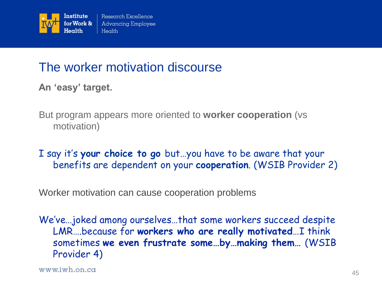

### The worker motivation discourse

**An "easy" target.**

But program appears more oriented to **worker cooperation** (vs motivation)

I say it"s **your choice to go** but…you have to be aware that your benefits are dependent on your **cooperation**. (WSIB Provider 2)

Worker motivation can cause cooperation problems

We"ve…joked among ourselves…that some workers succeed despite LMR….because for **workers who are really motivated**…I think sometimes **we even frustrate some…by…making them…** (WSIB Provider 4)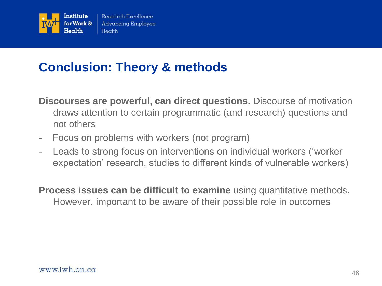

### **Conclusion: Theory & methods**

**Discourses are powerful, can direct questions.** Discourse of motivation draws attention to certain programmatic (and research) questions and not others

- Focus on problems with workers (not program)
- Leads to strong focus on interventions on individual workers ('worker' expectation' research, studies to different kinds of vulnerable workers)

**Process issues can be difficult to examine** using quantitative methods. However, important to be aware of their possible role in outcomes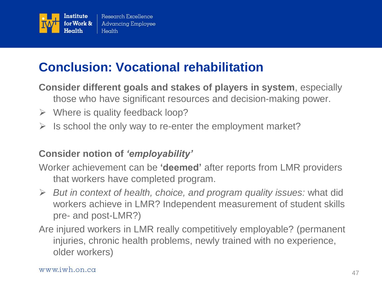

### **Conclusion: Vocational rehabilitation**

**Consider different goals and stakes of players in system**, especially those who have significant resources and decision-making power.

- $\triangleright$  Where is quality feedback loop?
- $\triangleright$  Is school the only way to re-enter the employment market?

#### **Consider notion of** *"employability"*

Worker achievement can be **"deemed"** after reports from LMR providers that workers have completed program.

- *But in context of health, choice, and program quality issues:* what did workers achieve in LMR? Independent measurement of student skills pre- and post-LMR?)
- Are injured workers in LMR really competitively employable? (permanent injuries, chronic health problems, newly trained with no experience, older workers)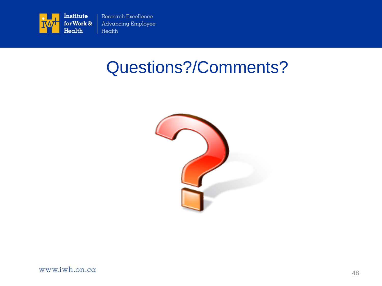

# Questions?/Comments?

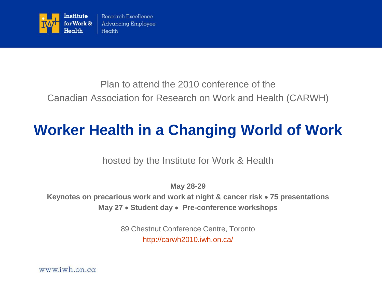

#### Plan to attend the 2010 conference of the Canadian Association for Research on Work and Health (CARWH)

# **Worker Health in a Changing World of Work**

hosted by the Institute for Work & Health

**May 28-29** 

**Keynotes on precarious work and work at night & cancer risk 75 presentations May 27 Student day Pre-conference workshops** 

> 89 Chestnut Conference Centre, Toronto <http://carwh2010.iwh.on.ca/>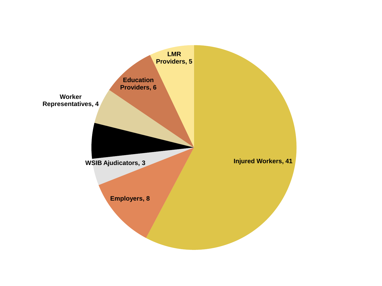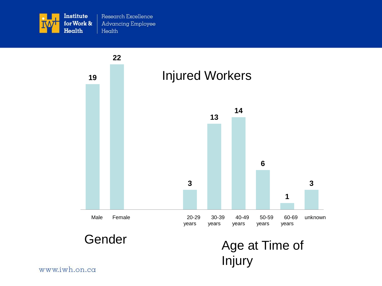

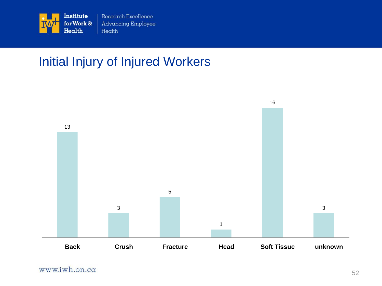

### Initial Injury of Injured Workers

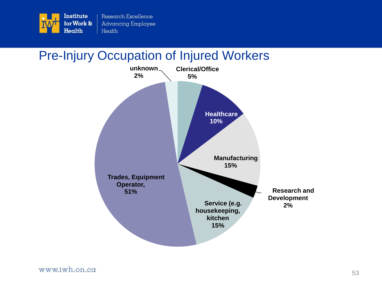

### Pre-Injury Occupation of Injured Workers

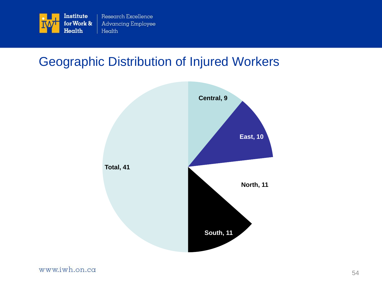

### Geographic Distribution of Injured Workers

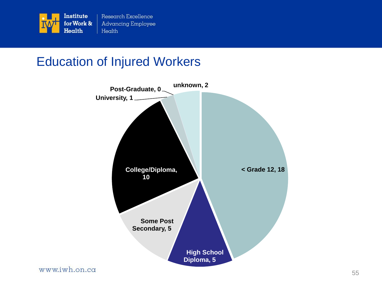

### Education of Injured Workers

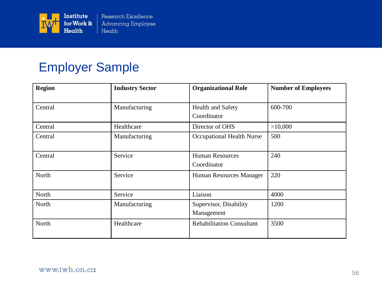

### Employer Sample

| <b>Region</b> | <b>Industry Sector</b> | <b>Organizational Role</b>              | <b>Number of Employees</b> |
|---------------|------------------------|-----------------------------------------|----------------------------|
| Central       | Manufacturing          | <b>Health and Safety</b><br>Coordinator | 600-700                    |
| Central       | Healthcare             | Director of OHS                         | >10,000                    |
| Central       | Manufacturing          | Occupational Health Nurse               | 500                        |
| Central       | Service                | <b>Human Resources</b><br>Coordinator   | 240                        |
| North         | Service                | Human Resources Manager                 | 220                        |
| North         | Service                | Liaison                                 | 4000                       |
| North         | Manufacturing          | Supervisor, Disability<br>Management    | 1200                       |
| North         | Healthcare             | <b>Rehabilitation Consultant</b>        | 3500                       |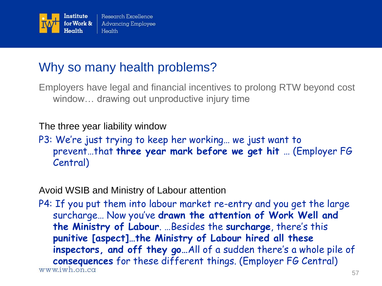

### Why so many health problems?

Employers have legal and financial incentives to prolong RTW beyond cost window… drawing out unproductive injury time

#### The three year liability window

P3: We're just trying to keep her working... we just want to prevent…that **three year mark before we get hit** … (Employer FG Central)

#### Avoid WSIB and Ministry of Labour attention

P4: If you put them into labour market re-entry and you get the large surcharge… Now you"ve **drawn the attention of Work Well and the Ministry of Labour**. …Besides the **surcharge**, there"s this **punitive [aspect]…the Ministry of Labour hired all these**  inspectors, and off they go...All of a sudden there's a whole pile of **consequences** for these different things. (Employer FG Central) www.iwh.on.ca